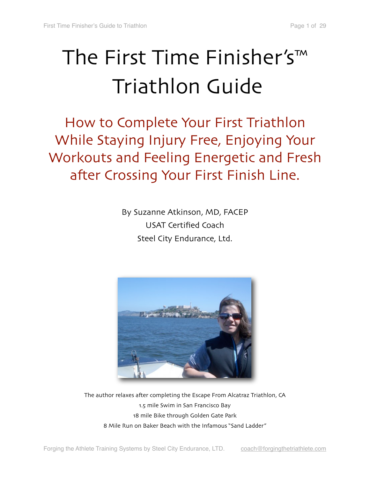# The First Time Finisher's™ Triathlon Guide

How to Complete Your First Triathlon While Staying Injury Free, Enjoying Your Workouts and Feeling Energetic and Fresh after Crossing Your First Finish Line.

> By Suzanne Atkinson, MD, FACEP USAT Certified Coach Steel City Endurance, Ltd.



The author relaxes after completing the Escape From Alcatraz Triathlon, CA 1.5 mile Swim in San Francisco Bay 18 mile Bike through Golden Gate Park 8 Mile Run on Baker Beach with the Infamous "Sand Ladder"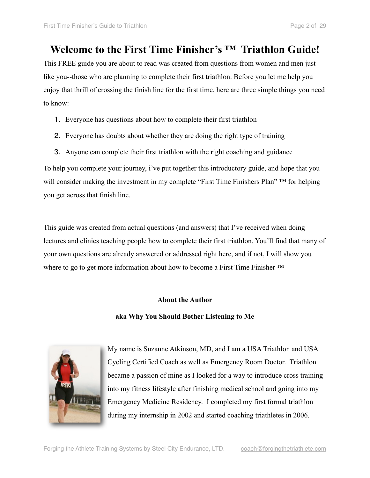## **Welcome to the First Time Finisher's ™ Triathlon Guide!**

This FREE guide you are about to read was created from questions from women and men just like you--those who are planning to complete their first triathlon. Before you let me help you enjoy that thrill of crossing the finish line for the first time, here are three simple things you need to know:

- 1. Everyone has questions about how to complete their first triathlon
- 2. Everyone has doubts about whether they are doing the right type of training
- 3. Anyone can complete their first triathlon with the right coaching and guidance

To help you complete your journey, i've put together this introductory guide, and hope that you will consider making the investment in my complete "First Time Finishers Plan" ™ for helping you get across that finish line.

This guide was created from actual questions (and answers) that I've received when doing lectures and clinics teaching people how to complete their first triathlon. You'll find that many of your own questions are already answered or addressed right here, and if not, I will show you where to go to get more information about how to become a First Time Finisher <sup>™</sup>

#### **About the Author**

#### **aka Why You Should Bother Listening to Me**



My name is Suzanne Atkinson, MD, and I am a USA Triathlon and USA Cycling Certified Coach as well as Emergency Room Doctor. Triathlon became a passion of mine as I looked for a way to introduce cross training into my fitness lifestyle after finishing medical school and going into my Emergency Medicine Residency. I completed my first formal triathlon during my internship in 2002 and started coaching triathletes in 2006.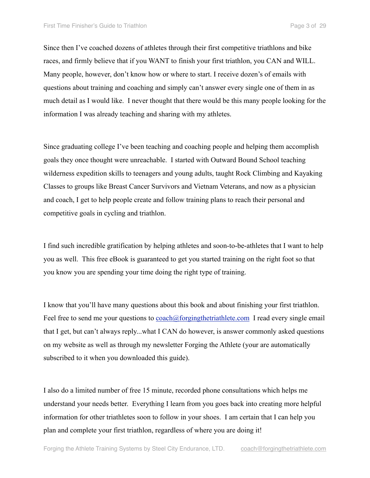Since then I've coached dozens of athletes through their first competitive triathlons and bike races, and firmly believe that if you WANT to finish your first triathlon, you CAN and WILL. Many people, however, don't know how or where to start. I receive dozen's of emails with questions about training and coaching and simply can't answer every single one of them in as much detail as I would like. I never thought that there would be this many people looking for the information I was already teaching and sharing with my athletes.

Since graduating college I've been teaching and coaching people and helping them accomplish goals they once thought were unreachable. I started with Outward Bound School teaching wilderness expedition skills to teenagers and young adults, taught Rock Climbing and Kayaking Classes to groups like Breast Cancer Survivors and Vietnam Veterans, and now as a physician and coach, I get to help people create and follow training plans to reach their personal and competitive goals in cycling and triathlon.

I find such incredible gratification by helping athletes and soon-to-be-athletes that I want to help you as well. This free eBook is guaranteed to get you started training on the right foot so that you know you are spending your time doing the right type of training.

I know that you'll have many questions about this book and about finishing your first triathlon. Feel free to send me your questions to [coach@forgingthetriathlete.com](mailto:coach@forgingthetriathlete.com) I read every single email that I get, but can't always reply...what I CAN do however, is answer commonly asked questions on my website as well as through my newsletter Forging the Athlete (your are automatically subscribed to it when you downloaded this guide).

I also do a limited number of free 15 minute, recorded phone consultations which helps me understand your needs better. Everything I learn from you goes back into creating more helpful information for other triathletes soon to follow in your shoes. I am certain that I can help you plan and complete your first triathlon, regardless of where you are doing it!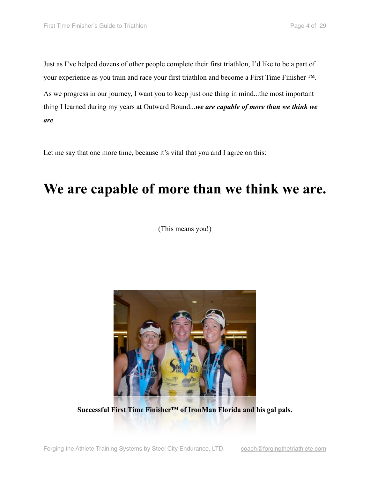Just as I've helped dozens of other people complete their first triathlon, I'd like to be a part of your experience as you train and race your first triathlon and become a First Time Finisher ™. As we progress in our journey, I want you to keep just one thing in mind...the most important thing I learned during my years at Outward Bound...*we are capable of more than we think we are*.

Let me say that one more time, because it's vital that you and I agree on this:

## **We are capable of more than we think we are.**

(This means you!)



**Successful First Time Finisher™ of IronMan Florida and his gal pals.**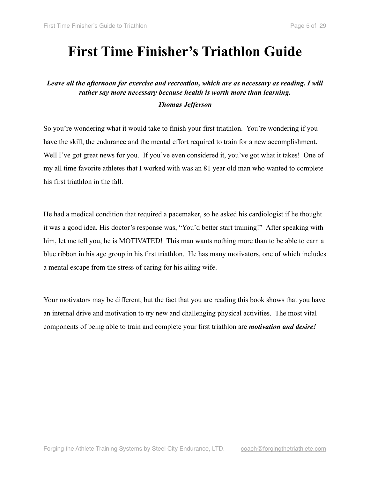## **First Time Finisher's Triathlon Guide**

### *Leave all the afternoon for exercise and recreation, which are as necessary as reading. I will rather say more necessary because health is worth more than learning.*

#### *Thomas Jefferson*

So you're wondering what it would take to finish your first triathlon. You're wondering if you have the skill, the endurance and the mental effort required to train for a new accomplishment. Well I've got great news for you. If you've even considered it, you've got what it takes! One of my all time favorite athletes that I worked with was an 81 year old man who wanted to complete his first triathlon in the fall.

He had a medical condition that required a pacemaker, so he asked his cardiologist if he thought it was a good idea. His doctor's response was, "You'd better start training!" After speaking with him, let me tell you, he is MOTIVATED! This man wants nothing more than to be able to earn a blue ribbon in his age group in his first triathlon. He has many motivators, one of which includes a mental escape from the stress of caring for his ailing wife.

Your motivators may be different, but the fact that you are reading this book shows that you have an internal drive and motivation to try new and challenging physical activities. The most vital components of being able to train and complete your first triathlon are *motivation and desire!*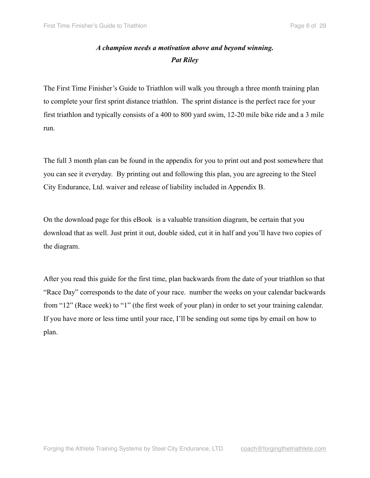### *A champion needs a motivation above and beyond winning. Pat Riley*

The First Time Finisher's Guide to Triathlon will walk you through a three month training plan to complete your first sprint distance triathlon. The sprint distance is the perfect race for your first triathlon and typically consists of a 400 to 800 yard swim, 12-20 mile bike ride and a 3 mile run.

The full 3 month plan can be found in the appendix for you to print out and post somewhere that you can see it everyday. By printing out and following this plan, you are agreeing to the Steel City Endurance, Ltd. waiver and release of liability included in Appendix B.

On the download page for this eBook is a valuable transition diagram, be certain that you download that as well. Just print it out, double sided, cut it in half and you'll have two copies of the diagram.

After you read this guide for the first time, plan backwards from the date of your triathlon so that "Race Day" corresponds to the date of your race. number the weeks on your calendar backwards from "12" (Race week) to "1" (the first week of your plan) in order to set your training calendar. If you have more or less time until your race, I'll be sending out some tips by email on how to plan.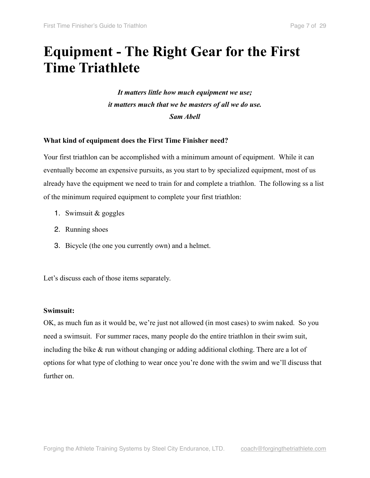## **Equipment - The Right Gear for the First Time Triathlete**

*It matters little how much equipment we use; it matters much that we be masters of all we do use. Sam Abell* 

#### **What kind of equipment does the First Time Finisher need?**

Your first triathlon can be accomplished with a minimum amount of equipment. While it can eventually become an expensive pursuits, as you start to by specialized equipment, most of us already have the equipment we need to train for and complete a triathlon. The following ss a list of the minimum required equipment to complete your first triathlon:

- 1. Swimsuit & goggles
- 2. Running shoes
- 3. Bicycle (the one you currently own) and a helmet.

Let's discuss each of those items separately.

#### **Swimsuit:**

OK, as much fun as it would be, we're just not allowed (in most cases) to swim naked. So you need a swimsuit. For summer races, many people do the entire triathlon in their swim suit, including the bike & run without changing or adding additional clothing. There are a lot of options for what type of clothing to wear once you're done with the swim and we'll discuss that further on.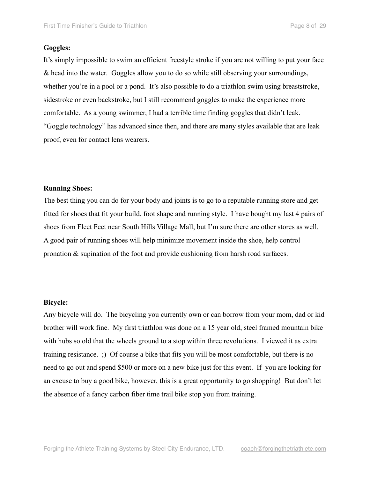#### **Goggles:**

It's simply impossible to swim an efficient freestyle stroke if you are not willing to put your face & head into the water. Goggles allow you to do so while still observing your surroundings, whether you're in a pool or a pond. It's also possible to do a triathlon swim using breaststroke, sidestroke or even backstroke, but I still recommend goggles to make the experience more comfortable. As a young swimmer, I had a terrible time finding goggles that didn't leak. "Goggle technology" has advanced since then, and there are many styles available that are leak proof, even for contact lens wearers.

#### **Running Shoes:**

The best thing you can do for your body and joints is to go to a reputable running store and get fitted for shoes that fit your build, foot shape and running style. I have bought my last 4 pairs of shoes from Fleet Feet near South Hills Village Mall, but I'm sure there are other stores as well. A good pair of running shoes will help minimize movement inside the shoe, help control pronation & supination of the foot and provide cushioning from harsh road surfaces.

#### **Bicycle:**

Any bicycle will do. The bicycling you currently own or can borrow from your mom, dad or kid brother will work fine. My first triathlon was done on a 15 year old, steel framed mountain bike with hubs so old that the wheels ground to a stop within three revolutions. I viewed it as extra training resistance. ;) Of course a bike that fits you will be most comfortable, but there is no need to go out and spend \$500 or more on a new bike just for this event. If you are looking for an excuse to buy a good bike, however, this is a great opportunity to go shopping! But don't let the absence of a fancy carbon fiber time trail bike stop you from training.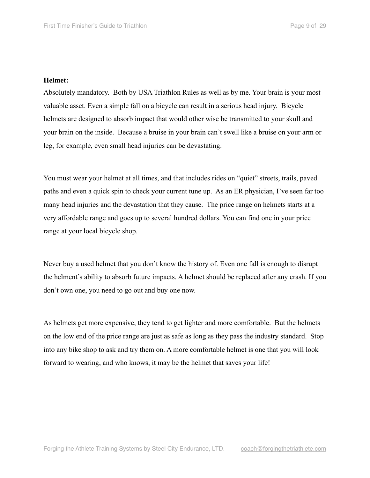#### **Helmet:**

Absolutely mandatory. Both by USA Triathlon Rules as well as by me. Your brain is your most valuable asset. Even a simple fall on a bicycle can result in a serious head injury. Bicycle helmets are designed to absorb impact that would other wise be transmitted to your skull and your brain on the inside. Because a bruise in your brain can't swell like a bruise on your arm or leg, for example, even small head injuries can be devastating.

You must wear your helmet at all times, and that includes rides on "quiet" streets, trails, paved paths and even a quick spin to check your current tune up. As an ER physician, I've seen far too many head injuries and the devastation that they cause. The price range on helmets starts at a very affordable range and goes up to several hundred dollars. You can find one in your price range at your local bicycle shop.

Never buy a used helmet that you don't know the history of. Even one fall is enough to disrupt the helment's ability to absorb future impacts. A helmet should be replaced after any crash. If you don't own one, you need to go out and buy one now.

As helmets get more expensive, they tend to get lighter and more comfortable. But the helmets on the low end of the price range are just as safe as long as they pass the industry standard. Stop into any bike shop to ask and try them on. A more comfortable helmet is one that you will look forward to wearing, and who knows, it may be the helmet that saves your life!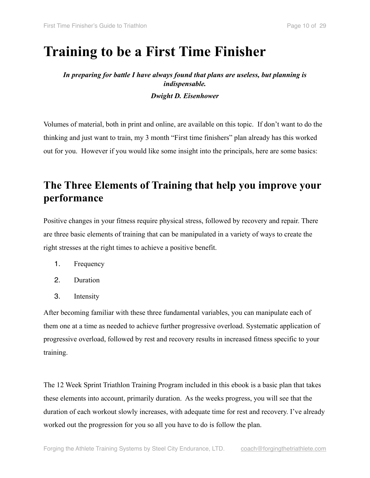## **Training to be a First Time Finisher**

### *In preparing for battle I have always found that plans are useless, but planning is indispensable. Dwight D. Eisenhower*

Volumes of material, both in print and online, are available on this topic. If don't want to do the thinking and just want to train, my 3 month "First time finishers" plan already has this worked out for you. However if you would like some insight into the principals, here are some basics:

## **The Three Elements of Training that help you improve your performance**

Positive changes in your fitness require physical stress, followed by recovery and repair. There are three basic elements of training that can be manipulated in a variety of ways to create the right stresses at the right times to achieve a positive benefit.

- 1. Frequency
- 2. Duration
- 3. Intensity

After becoming familiar with these three fundamental variables, you can manipulate each of them one at a time as needed to achieve further progressive overload. Systematic application of progressive overload, followed by rest and recovery results in increased fitness specific to your training.

The 12 Week Sprint Triathlon Training Program included in this ebook is a basic plan that takes these elements into account, primarily duration. As the weeks progress, you will see that the duration of each workout slowly increases, with adequate time for rest and recovery. I've already worked out the progression for you so all you have to do is follow the plan.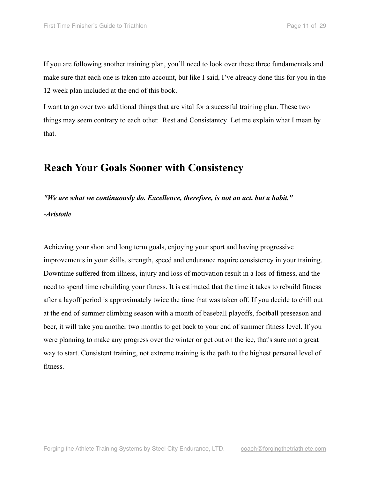If you are following another training plan, you'll need to look over these three fundamentals and make sure that each one is taken into account, but like I said, I've already done this for you in the 12 week plan included at the end of this book.

I want to go over two additional things that are vital for a sucessful training plan. These two things may seem contrary to each other. Rest and Consistantcy Let me explain what I mean by that.

## **Reach Your Goals Sooner with Consistency**

*"We are what we continuously do. Excellence, therefore, is not an act, but a habit."*

*-Aristotle*

Achieving your short and long term goals, enjoying your sport and having progressive improvements in your skills, strength, speed and endurance require consistency in your training. Downtime suffered from illness, injury and loss of motivation result in a loss of fitness, and the need to spend time rebuilding your fitness. It is estimated that the time it takes to rebuild fitness after a layoff period is approximately twice the time that was taken off. If you decide to chill out at the end of summer climbing season with a month of baseball playoffs, football preseason and beer, it will take you another two months to get back to your end of summer fitness level. If you were planning to make any progress over the winter or get out on the ice, that's sure not a great way to start. Consistent training, not extreme training is the path to the highest personal level of fitness.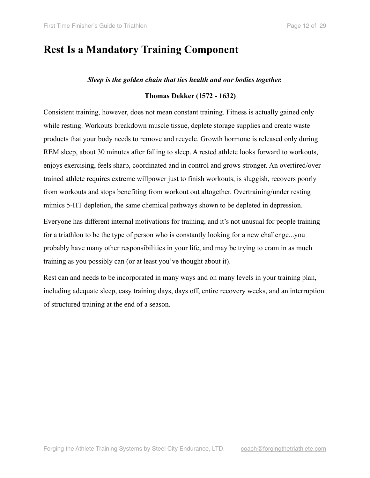## **Rest Is a Mandatory Training Component**

#### *Sleep is the golden chain that ties health and our bodies together.*

#### **Thomas Dekker (1572 - 1632)**

Consistent training, however, does not mean constant training. Fitness is actually gained only while resting. Workouts breakdown muscle tissue, deplete storage supplies and create waste products that your body needs to remove and recycle. Growth hormone is released only during REM sleep, about 30 minutes after falling to sleep. A rested athlete looks forward to workouts, enjoys exercising, feels sharp, coordinated and in control and grows stronger. An overtired/over trained athlete requires extreme willpower just to finish workouts, is sluggish, recovers poorly from workouts and stops benefiting from workout out altogether. Overtraining/under resting mimics 5-HT depletion, the same chemical pathways shown to be depleted in depression.

Everyone has different internal motivations for training, and it's not unusual for people training for a triathlon to be the type of person who is constantly looking for a new challenge...you probably have many other responsibilities in your life, and may be trying to cram in as much training as you possibly can (or at least you've thought about it).

Rest can and needs to be incorporated in many ways and on many levels in your training plan, including adequate sleep, easy training days, days off, entire recovery weeks, and an interruption of structured training at the end of a season.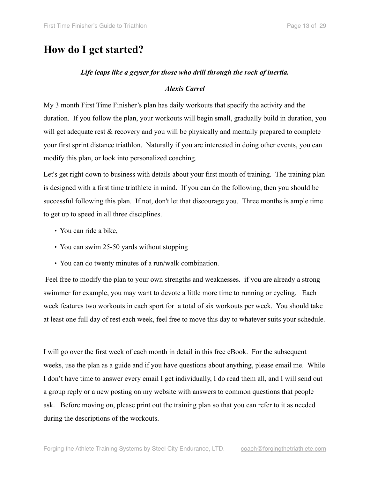## **How do I get started?**

#### *Life leaps like a geyser for those who drill through the rock of inertia.*

#### *Alexis Carrel*

My 3 month First Time Finisher's plan has daily workouts that specify the activity and the duration. If you follow the plan, your workouts will begin small, gradually build in duration, you will get adequate rest  $\&$  recovery and you will be physically and mentally prepared to complete your first sprint distance triathlon. Naturally if you are interested in doing other events, you can modify this plan, or look into personalized coaching.

Let's get right down to business with details about your first month of training. The training plan is designed with a first time triathlete in mind. If you can do the following, then you should be successful following this plan. If not, don't let that discourage you. Three months is ample time to get up to speed in all three disciplines.

- You can ride a bike,
- You can swim 25-50 yards without stopping
- You can do twenty minutes of a run/walk combination.

 Feel free to modify the plan to your own strengths and weaknesses. if you are already a strong swimmer for example, you may want to devote a little more time to running or cycling. Each week features two workouts in each sport for a total of six workouts per week. You should take at least one full day of rest each week, feel free to move this day to whatever suits your schedule.

I will go over the first week of each month in detail in this free eBook. For the subsequent weeks, use the plan as a guide and if you have questions about anything, please email me. While I don't have time to answer every email I get individually, I do read them all, and I will send out a group reply or a new posting on my website with answers to common questions that people ask. Before moving on, please print out the training plan so that you can refer to it as needed during the descriptions of the workouts.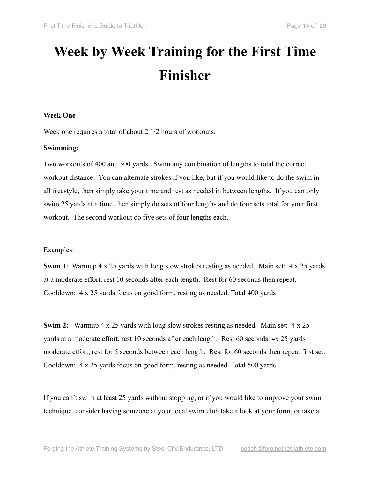## **Week by Week Training for the First Time Finisher**

#### **Week One**

Week one requires a total of about 2 1/2 hours of workouts.

#### **Swimming:**

Two workouts of 400 and 500 yards. Swim any combination of lengths to total the correct workout distance. You can alternate strokes if you like, but if you would like to do the swim in all freestyle, then simply take your time and rest as needed in between lengths. If you can only swim 25 yards at a time, then simply do sets of four lengths and do four sets total for your first workout. The second workout do five sets of four lengths each.

#### Examples:

**Swim 1**: Warmup 4 x 25 yards with long slow strokes resting as needed. Main set: 4 x 25 yards at a moderate effort, rest 10 seconds after each length. Rest for 60 seconds then repeat. Cooldown: 4 x 25 yards focus on good form, resting as needed. Total 400 yards

**Swim 2:** Warmup 4 x 25 yards with long slow strokes resting as needed. Main set: 4 x 25 yards at a moderate effort, rest 10 seconds after each length. Rest 60 seconds. 4x 25 yards moderate effort, rest for 5 seconds between each length. Rest for 60 seconds then repeat first set. Cooldown: 4 x 25 yards focus on good form, resting as needed. Total 500 yards

If you can't swim at least 25 yards without stopping, or if you would like to improve your swim technique, consider having someone at your local swim club take a look at your form, or take a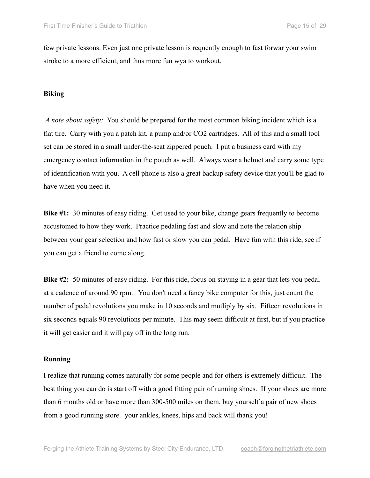few private lessons. Even just one private lesson is requently enough to fast forwar your swim stroke to a more efficient, and thus more fun wya to workout.

#### **Biking**

 *A note about safety:* You should be prepared for the most common biking incident which is a flat tire. Carry with you a patch kit, a pump and/or CO2 cartridges. All of this and a small tool set can be stored in a small under-the-seat zippered pouch. I put a business card with my emergency contact information in the pouch as well. Always wear a helmet and carry some type of identification with you. A cell phone is also a great backup safety device that you'll be glad to have when you need it.

**Bike #1:** 30 minutes of easy riding. Get used to your bike, change gears frequently to become accustomed to how they work. Practice pedaling fast and slow and note the relation ship between your gear selection and how fast or slow you can pedal. Have fun with this ride, see if you can get a friend to come along.

**Bike #2:** 50 minutes of easy riding. For this ride, focus on staying in a gear that lets you pedal at a cadence of around 90 rpm. You don't need a fancy bike computer for this, just count the number of pedal revolutions you make in 10 seconds and mutliply by six. Fifteen revolutions in six seconds equals 90 revolutions per minute. This may seem difficult at first, but if you practice it will get easier and it will pay off in the long run.

#### **Running**

I realize that running comes naturally for some people and for others is extremely difficult. The best thing you can do is start off with a good fitting pair of running shoes. If your shoes are more than 6 months old or have more than 300-500 miles on them, buy yourself a pair of new shoes from a good running store. your ankles, knees, hips and back will thank you!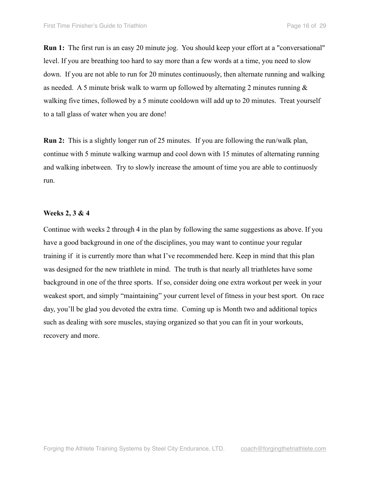**Run 1:** The first run is an easy 20 minute jog. You should keep your effort at a "conversational" level. If you are breathing too hard to say more than a few words at a time, you need to slow down. If you are not able to run for 20 minutes continuously, then alternate running and walking as needed. A 5 minute brisk walk to warm up followed by alternating 2 minutes running  $\&$ walking five times, followed by a 5 minute cooldown will add up to 20 minutes. Treat yourself to a tall glass of water when you are done!

**Run 2:** This is a slightly longer run of 25 minutes. If you are following the run/walk plan, continue with 5 minute walking warmup and cool down with 15 minutes of alternating running and walking inbetween. Try to slowly increase the amount of time you are able to continuosly run.

#### **Weeks 2, 3 & 4**

Continue with weeks 2 through 4 in the plan by following the same suggestions as above. If you have a good background in one of the disciplines, you may want to continue your regular training if it is currently more than what I've recommended here. Keep in mind that this plan was designed for the new triathlete in mind. The truth is that nearly all triathletes have some background in one of the three sports. If so, consider doing one extra workout per week in your weakest sport, and simply "maintaining" your current level of fitness in your best sport. On race day, you'll be glad you devoted the extra time. Coming up is Month two and additional topics such as dealing with sore muscles, staying organized so that you can fit in your workouts, recovery and more.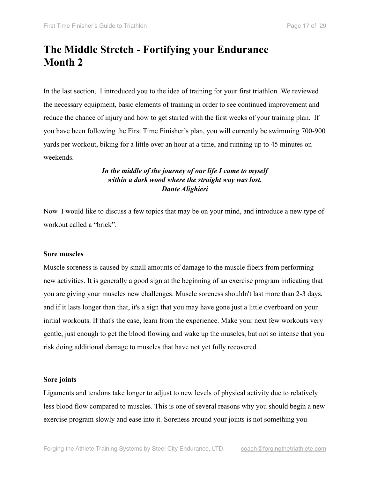## **The Middle Stretch - Fortifying your Endurance Month 2**

In the last section, I introduced you to the idea of training for your first triathlon. We reviewed the necessary equipment, basic elements of training in order to see continued improvement and reduce the chance of injury and how to get started with the first weeks of your training plan. If you have been following the First Time Finisher's plan, you will currently be swimming 700-900 yards per workout, biking for a little over an hour at a time, and running up to 45 minutes on weekends.

#### *In the middle of the journey of our life I came to myself within a dark wood where the straight way was lost. Dante Alighieri*

Now I would like to discuss a few topics that may be on your mind, and introduce a new type of workout called a "brick".

#### **Sore muscles**

Muscle soreness is caused by small amounts of damage to the muscle fibers from performing new activities. It is generally a good sign at the beginning of an exercise program indicating that you are giving your muscles new challenges. Muscle soreness shouldn't last more than 2-3 days, and if it lasts longer than that, it's a sign that you may have gone just a little overboard on your initial workouts. If that's the case, learn from the experience. Make your next few workouts very gentle, just enough to get the blood flowing and wake up the muscles, but not so intense that you risk doing additional damage to muscles that have not yet fully recovered.

#### **Sore joints**

Ligaments and tendons take longer to adjust to new levels of physical activity due to relatively less blood flow compared to muscles. This is one of several reasons why you should begin a new exercise program slowly and ease into it. Soreness around your joints is not something you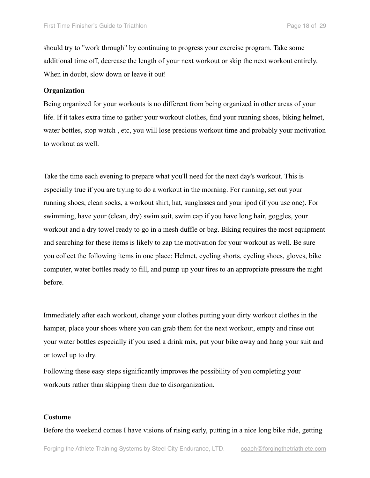should try to "work through" by continuing to progress your exercise program. Take some additional time off, decrease the length of your next workout or skip the next workout entirely. When in doubt, slow down or leave it out!

#### **Organization**

Being organized for your workouts is no different from being organized in other areas of your life. If it takes extra time to gather your workout clothes, find your running shoes, biking helmet, water bottles, stop watch , etc, you will lose precious workout time and probably your motivation to workout as well.

Take the time each evening to prepare what you'll need for the next day's workout. This is especially true if you are trying to do a workout in the morning. For running, set out your running shoes, clean socks, a workout shirt, hat, sunglasses and your ipod (if you use one). For swimming, have your (clean, dry) swim suit, swim cap if you have long hair, goggles, your workout and a dry towel ready to go in a mesh duffle or bag. Biking requires the most equipment and searching for these items is likely to zap the motivation for your workout as well. Be sure you collect the following items in one place: Helmet, cycling shorts, cycling shoes, gloves, bike computer, water bottles ready to fill, and pump up your tires to an appropriate pressure the night before.

Immediately after each workout, change your clothes putting your dirty workout clothes in the hamper, place your shoes where you can grab them for the next workout, empty and rinse out your water bottles especially if you used a drink mix, put your bike away and hang your suit and or towel up to dry.

Following these easy steps significantly improves the possibility of you completing your workouts rather than skipping them due to disorganization.

#### **Costume**

Before the weekend comes I have visions of rising early, putting in a nice long bike ride, getting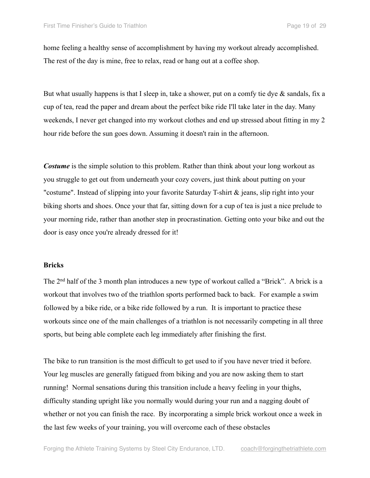home feeling a healthy sense of accomplishment by having my workout already accomplished. The rest of the day is mine, free to relax, read or hang out at a coffee shop.

But what usually happens is that I sleep in, take a shower, put on a comfy tie dye  $\&$  sandals, fix a cup of tea, read the paper and dream about the perfect bike ride I'll take later in the day. Many weekends, I never get changed into my workout clothes and end up stressed about fitting in my 2 hour ride before the sun goes down. Assuming it doesn't rain in the afternoon.

*Costume* is the simple solution to this problem. Rather than think about your long workout as you struggle to get out from underneath your cozy covers, just think about putting on your "costume". Instead of slipping into your favorite Saturday T-shirt  $\&$  jeans, slip right into your biking shorts and shoes. Once your that far, sitting down for a cup of tea is just a nice prelude to your morning ride, rather than another step in procrastination. Getting onto your bike and out the door is easy once you're already dressed for it!

#### **Bricks**

The 2nd half of the 3 month plan introduces a new type of workout called a "Brick". A brick is a workout that involves two of the triathlon sports performed back to back. For example a swim followed by a bike ride, or a bike ride followed by a run. It is important to practice these workouts since one of the main challenges of a triathlon is not necessarily competing in all three sports, but being able complete each leg immediately after finishing the first.

The bike to run transition is the most difficult to get used to if you have never tried it before. Your leg muscles are generally fatigued from biking and you are now asking them to start running! Normal sensations during this transition include a heavy feeling in your thighs, difficulty standing upright like you normally would during your run and a nagging doubt of whether or not you can finish the race. By incorporating a simple brick workout once a week in the last few weeks of your training, you will overcome each of these obstacles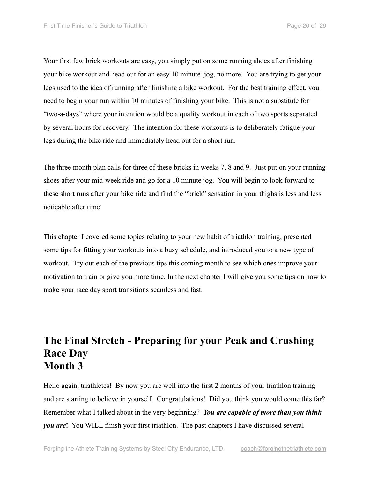Your first few brick workouts are easy, you simply put on some running shoes after finishing your bike workout and head out for an easy 10 minute jog, no more. You are trying to get your legs used to the idea of running after finishing a bike workout. For the best training effect, you need to begin your run within 10 minutes of finishing your bike. This is not a substitute for "two-a-days" where your intention would be a quality workout in each of two sports separated by several hours for recovery. The intention for these workouts is to deliberately fatigue your legs during the bike ride and immediately head out for a short run.

The three month plan calls for three of these bricks in weeks 7, 8 and 9. Just put on your running shoes after your mid-week ride and go for a 10 minute jog. You will begin to look forward to these short runs after your bike ride and find the "brick" sensation in your thighs is less and less noticable after time!

This chapter I covered some topics relating to your new habit of triathlon training, presented some tips for fitting your workouts into a busy schedule, and introduced you to a new type of workout. Try out each of the previous tips this coming month to see which ones improve your motivation to train or give you more time. In the next chapter I will give you some tips on how to make your race day sport transitions seamless and fast.

## **The Final Stretch - Preparing for your Peak and Crushing Race Day Month 3**

Hello again, triathletes! By now you are well into the first 2 months of your triathlon training and are starting to believe in yourself. Congratulations! Did you think you would come this far? Remember what I talked about in the very beginning? *You are capable of more than you think you are***!** You WILL finish your first triathlon. The past chapters I have discussed several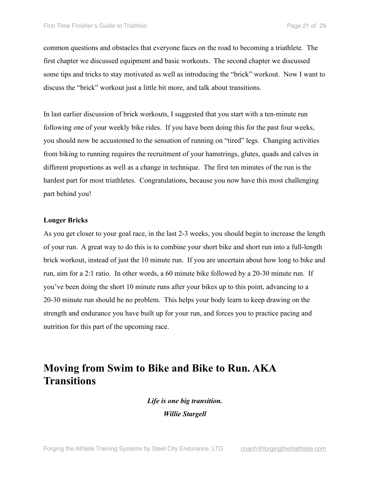common questions and obstacles that everyone faces on the road to becoming a triathlete. The first chapter we discussed equipment and basic workouts. The second chapter we discussed some tips and tricks to stay motivated as well as introducing the "brick" workout. Now I want to discuss the "brick" workout just a little bit more, and talk about transitions.

In last earlier discussion of brick workouts, I suggested that you start with a ten-minute run following one of your weekly bike rides. If you have been doing this for the past four weeks, you should now be accustomed to the sensation of running on "tired" legs. Changing activities from biking to running requires the recruitment of your hamstrings, glutes, quads and calves in different proportions as well as a change in technique. The first ten minutes of the run is the hardest part for most triathletes. Congratulations, because you now have this most challenging part behind you!

#### **Longer Bricks**

As you get closer to your goal race, in the last 2-3 weeks, you should begin to increase the length of your run. A great way to do this is to combine your short bike and short run into a full-length brick workout, instead of just the 10 minute run. If you are uncertain about how long to bike and run, aim for a 2:1 ratio. In other words, a 60 minute bike followed by a 20-30 minute run. If you've been doing the short 10 minute runs after your bikes up to this point, advancing to a 20-30 minute run should be no problem. This helps your body learn to keep drawing on the strength and endurance you have built up for your run, and forces you to practice pacing and nutrition for this part of the upcoming race.

## **Moving from Swim to Bike and Bike to Run. AKA Transitions**

*Life is one big transition. Willie Stargell*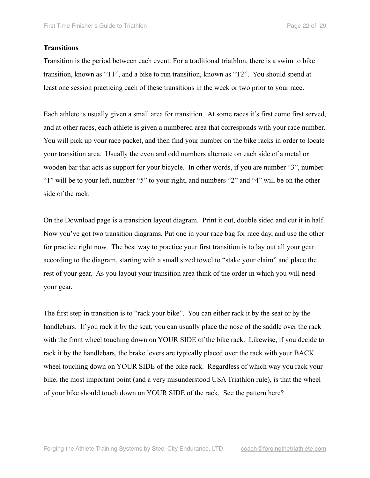#### **Transitions**

Transition is the period between each event. For a traditional triathlon, there is a swim to bike transition, known as "T1", and a bike to run transition, known as "T2". You should spend at least one session practicing each of these transitions in the week or two prior to your race.

Each athlete is usually given a small area for transition. At some races it's first come first served, and at other races, each athlete is given a numbered area that corresponds with your race number. You will pick up your race packet, and then find your number on the bike racks in order to locate your transition area. Usually the even and odd numbers alternate on each side of a metal or wooden bar that acts as support for your bicycle. In other words, if you are number "3", number "1" will be to your left, number "5" to your right, and numbers "2" and "4" will be on the other side of the rack.

On the Download page is a transition layout diagram. Print it out, double sided and cut it in half. Now you've got two transition diagrams. Put one in your race bag for race day, and use the other for practice right now. The best way to practice your first transition is to lay out all your gear according to the diagram, starting with a small sized towel to "stake your claim" and place the rest of your gear. As you layout your transition area think of the order in which you will need your gear.

The first step in transition is to "rack your bike". You can either rack it by the seat or by the handlebars. If you rack it by the seat, you can usually place the nose of the saddle over the rack with the front wheel touching down on YOUR SIDE of the bike rack. Likewise, if you decide to rack it by the handlebars, the brake levers are typically placed over the rack with your BACK wheel touching down on YOUR SIDE of the bike rack. Regardless of which way you rack your bike, the most important point (and a very misunderstood USA Triathlon rule), is that the wheel of your bike should touch down on YOUR SIDE of the rack. See the pattern here?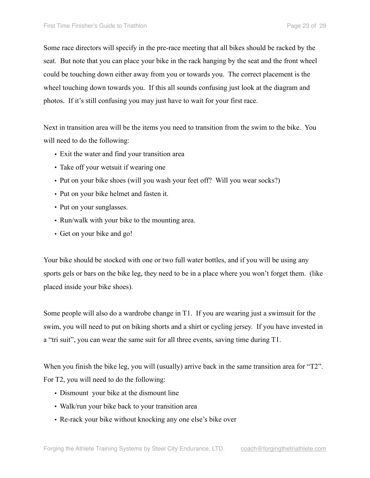Some race directors will specify in the pre-race meeting that all bikes should be racked by the seat. But note that you can place your bike in the rack hanging by the seat and the front wheel could be touching down either away from you or towards you. The correct placement is the wheel touching down towards you. If this all sounds confusing just look at the diagram and photos. If it's still confusing you may just have to wait for your first race.

Next in transition area will be the items you need to transition from the swim to the bike. You will need to do the following:

- Exit the water and find your transition area
- Take off your wetsuit if wearing one
- Put on your bike shoes (will you wash your feet off? Will you wear socks?)
- Put on your bike helmet and fasten it.
- Put on your sunglasses.
- Run/walk with your bike to the mounting area.
- Get on your bike and go!

Your bike should be stocked with one or two full water bottles, and if you will be using any sports gels or bars on the bike leg, they need to be in a place where you won't forget them. (like placed inside your bike shoes).

Some people will also do a wardrobe change in T1. If you are wearing just a swimsuit for the swim, you will need to put on biking shorts and a shirt or cycling jersey. If you have invested in a "tri suit", you can wear the same suit for all three events, saving time during T1.

When you finish the bike leg, you will (usually) arrive back in the same transition area for "T2". For T2, you will need to do the following:

- Dismount your bike at the dismount line
- Walk/run your bike back to your transition area
- Re-rack your bike without knocking any one else's bike over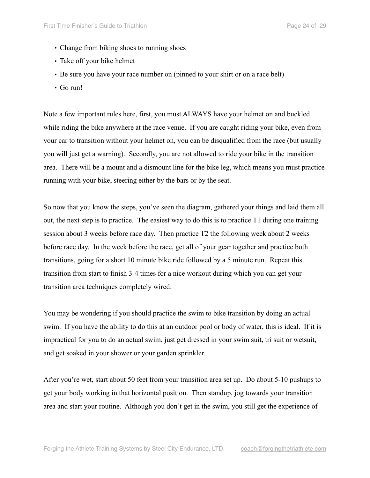- Change from biking shoes to running shoes
- Take off your bike helmet
- Be sure you have your race number on (pinned to your shirt or on a race belt)
- Go run!

Note a few important rules here, first, you must ALWAYS have your helmet on and buckled while riding the bike anywhere at the race venue. If you are caught riding your bike, even from your car to transition without your helmet on, you can be disqualified from the race (but usually you will just get a warning). Secondly, you are not allowed to ride your bike in the transition area. There will be a mount and a dismount line for the bike leg, which means you must practice running with your bike, steering either by the bars or by the seat.

So now that you know the steps, you've seen the diagram, gathered your things and laid them all out, the next step is to practice. The easiest way to do this is to practice T1 during one training session about 3 weeks before race day. Then practice T2 the following week about 2 weeks before race day. In the week before the race, get all of your gear together and practice both transitions, going for a short 10 minute bike ride followed by a 5 minute run. Repeat this transition from start to finish 3-4 times for a nice workout during which you can get your transition area techniques completely wired.

You may be wondering if you should practice the swim to bike transition by doing an actual swim. If you have the ability to do this at an outdoor pool or body of water, this is ideal. If it is impractical for you to do an actual swim, just get dressed in your swim suit, tri suit or wetsuit, and get soaked in your shower or your garden sprinkler.

After you're wet, start about 50 feet from your transition area set up. Do about 5-10 pushups to get your body working in that horizontal position. Then standup, jog towards your transition area and start your routine. Although you don't get in the swim, you still get the experience of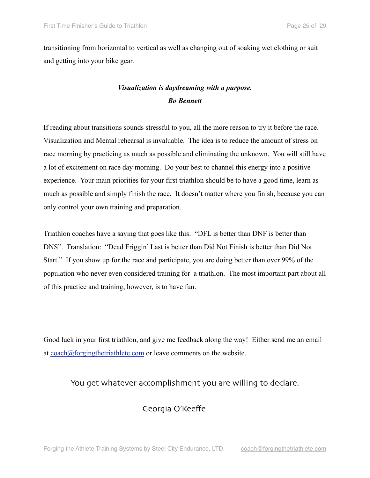transitioning from horizontal to vertical as well as changing out of soaking wet clothing or suit and getting into your bike gear.

### *Visualization is daydreaming with a purpose. Bo Bennett*

If reading about transitions sounds stressful to you, all the more reason to try it before the race. Visualization and Mental rehearsal is invaluable. The idea is to reduce the amount of stress on race morning by practicing as much as possible and eliminating the unknown. You will still have a lot of excitement on race day morning. Do your best to channel this energy into a positive experience. Your main priorities for your first triathlon should be to have a good time, learn as much as possible and simply finish the race. It doesn't matter where you finish, because you can only control your own training and preparation.

Triathlon coaches have a saying that goes like this: "DFL is better than DNF is better than DNS". Translation: "Dead Friggin' Last is better than Did Not Finish is better than Did Not Start." If you show up for the race and participate, you are doing better than over 99% of the population who never even considered training for a triathlon. The most important part about all of this practice and training, however, is to have fun.

Good luck in your first triathlon, and give me feedback along the way! Either send me an email at [coach@forgingthetriathlete.com](mailto:coach@forgingthetriathlete.com) or leave comments on the website.

You get whatever accomplishment you are willing to declare.

#### Georgia O'Keeffe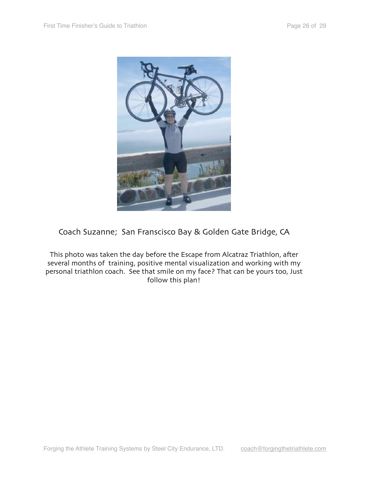

### Coach Suzanne; San Franscisco Bay & Golden Gate Bridge, CA

This photo was taken the day before the Escape from Alcatraz Triathlon, after several months of training, positive mental visualization and working with my personal triathlon coach. See that smile on my face? That can be yours too, Just follow this plan!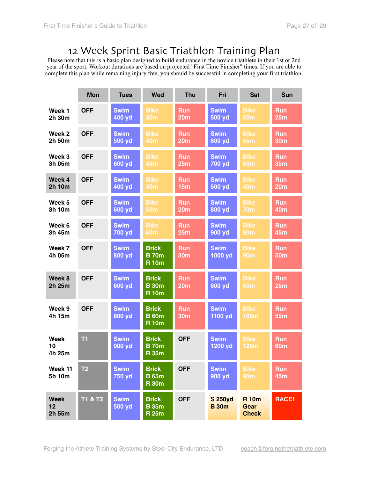## 12 Week Sprint Basic Triathlon Training Plan

Please note that this is a basic plan designed to build endurance in the novice triathlete in their 1st or 2nd year of the sport. Workout durations are based on projected "First Time Finisher" times. If you are able to complete this plan while remaining injury free, you should be successful in completing your first triathlon.

|                             | <b>Mon</b>     | <b>Tues</b>           | <b>Wed</b>                                   | <b>Thu</b>                    | Fri                            | <b>Sat</b>                                  | <b>Sun</b>                    |
|-----------------------------|----------------|-----------------------|----------------------------------------------|-------------------------------|--------------------------------|---------------------------------------------|-------------------------------|
| Week 1<br>2h 30m            | <b>OFF</b>     | <b>Swim</b><br>400 yd | <b>Bike</b><br><b>30m</b>                    | <b>Run</b><br>20m             | <b>Swim</b><br>500 yd          | <b>Bike</b><br><b>50m</b>                   | <b>Run</b><br>25m             |
| Week 2<br>2h 50m            | <b>OFF</b>     | <b>Swim</b><br>500 yd | <b>Bike</b><br><b>40m</b>                    | <b>Run</b><br>20 <sub>m</sub> | <b>Swim</b><br>600 yd          | <b>Bike</b><br><b>55m</b>                   | <b>Run</b><br><b>30m</b>      |
| Week 3<br>3h 05m            | <b>OFF</b>     | <b>Swim</b><br>600 yd | <b>Bike</b><br><b>45m</b>                    | <b>Run</b><br>25m             | <b>Swim</b><br>700 yd          | <b>Bike</b><br><b>60m</b>                   | <b>Run</b><br><b>35m</b>      |
| Week 4<br>2h 10m            | <b>OFF</b>     | <b>Swim</b><br>400 yd | <b>Bike</b><br><b>30m</b>                    | <b>Run</b><br><b>15m</b>      | <b>Swim</b><br>500 yd          | <b>Bike</b><br><b>45m</b>                   | <b>Run</b><br>20 <sub>m</sub> |
| Week 5<br>3h 10m            | <b>OFF</b>     | <b>Swim</b><br>600 yd | <b>Bike</b><br><b>50m</b>                    | <b>Run</b><br>20m             | <b>Swim</b><br>800 yd          | <b>Bike</b><br><b>70m</b>                   | <b>Run</b><br><b>40m</b>      |
| Week 6<br>3h 45m            | <b>OFF</b>     | <b>Swim</b><br>700 yd | <b>Bike</b><br><b>60m</b>                    | <b>Run</b><br>25m             | <b>Swim</b><br>900 yd          | <b>Bike</b><br><b>80m</b>                   | <b>Run</b><br>45m             |
| Week 7<br>4h 05m            | <b>OFF</b>     | <b>Swim</b><br>800 yd | <b>Brick</b><br><b>B</b> 70m<br><b>R</b> 10m | <b>Run</b><br><b>30m</b>      | <b>Swim</b><br>1000 yd         | <b>Bike</b><br><b>90m</b>                   | <b>Run</b><br><b>50m</b>      |
| Week 8<br>2h 25m            | <b>OFF</b>     | <b>Swim</b><br>600 yd | <b>Brick</b><br><b>B</b> 30m<br><b>R</b> 10m | <b>Run</b><br>20 <sub>m</sub> | <b>Swim</b><br>600 yd          | <b>Bike</b><br><b>50m</b>                   | <b>Run</b><br>25m             |
| Week 9<br>4h 15m            | <b>OFF</b>     | <b>Swim</b><br>800 yd | <b>Brick</b><br><b>B</b> 60m<br><b>R</b> 10m | <b>Run</b><br><b>30m</b>      | <b>Swim</b><br>1100 yd         | <b>Bike</b><br><b>100m</b>                  | <b>Run</b><br>55m             |
| <b>Week</b><br>10<br>4h 25m | T1             | <b>Swim</b><br>900 yd | <b>Brick</b><br><b>B</b> 70m<br><b>R</b> 35m | <b>OFF</b>                    | <b>Swim</b><br>1200 yd         | <b>Bike</b><br><b>120m</b>                  | <b>Run</b><br><b>60m</b>      |
| Week 11<br>5h 10m           | T <sub>2</sub> | <b>Swim</b><br>750 yd | <b>Brick</b><br><b>B</b> 65m<br><b>R</b> 30m | <b>OFF</b>                    | <b>Swim</b><br>900 yd          | <b>Bike</b><br><b>90m</b>                   | <b>Run</b><br>45m             |
| <b>Week</b><br>12<br>2h 55m | T1 & T2        | <b>Swim</b><br>500 yd | <b>Brick</b><br><b>B</b> 35m<br><b>R25m</b>  | <b>OFF</b>                    | <b>S 250yd</b><br><b>B</b> 30m | <b>R</b> 10m<br><b>Gear</b><br><b>Check</b> | <b>RACE!</b>                  |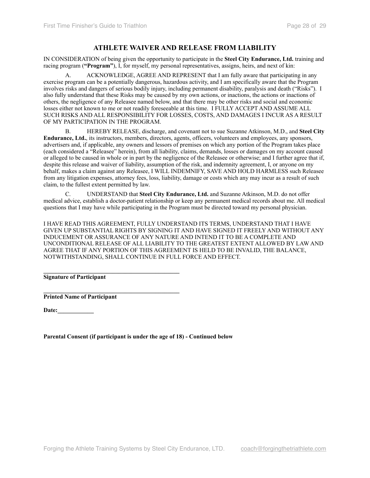#### **ATHLETE WAIVER AND RELEASE FROM LIABILITY**

IN CONSIDERATION of being given the opportunity to participate in the **Steel City Endurance, Ltd.** training and racing program (**"Program"**), I, for myself, my personal representatives, assigns, heirs, and next of kin:

A. ACKNOWLEDGE, AGREE AND REPRESENT that I am fully aware that participating in any exercise program can be a potentially dangerous, hazardous activity, and I am specifically aware that the Program involves risks and dangers of serious bodily injury, including permanent disability, paralysis and death ("Risks"). I also fully understand that these Risks may be caused by my own actions, or inactions, the actions or inactions of others, the negligence of any Releasee named below, and that there may be other risks and social and economic losses either not known to me or not readily foreseeable at this time. I FULLY ACCEPT AND ASSUME ALL SUCH RISKS AND ALL RESPONSIBILITY FOR LOSSES, COSTS, AND DAMAGES I INCUR AS A RESULT OF MY PARTICIPATION IN THE PROGRAM.

B. HEREBY RELEASE, discharge, and covenant not to sue Suzanne Atkinson, M.D., and **Steel City Endurance, Ltd.**, its instructors, members, directors, agents, officers, volunteers and employees, any sponsors, advertisers and, if applicable, any owners and lessors of premises on which any portion of the Program takes place (each considered a "Releasee" herein), from all liability, claims, demands, losses or damages on my account caused or alleged to be caused in whole or in part by the negligence of the Releasee or otherwise; and I further agree that if, despite this release and waiver of liability, assumption of the risk, and indemnity agreement, I, or anyone on my behalf, makes a claim against any Releasee, I WILL INDEMNIFY, SAVE AND HOLD HARMLESS such Releasee from any litigation expenses, attorney fees, loss, liability, damage or costs which any may incur as a result of such claim, to the fullest extent permitted by law.

C. UNDERSTAND that **Steel City Endurance, Ltd.** and Suzanne Atkinson, M.D. do not offer medical advice, establish a doctor-patient relationship or keep any permanent medical records about me. All medical questions that I may have while participating in the Program must be directed toward my personal physician.

I HAVE READ THIS AGREEMENT, FULLY UNDERSTAND ITS TERMS, UNDERSTAND THAT I HAVE GIVEN UP SUBSTANTIAL RIGHTS BY SIGNING IT AND HAVE SIGNED IT FREELY AND WITHOUT ANY INDUCEMENT OR ASSURANCE OF ANY NATURE AND INTEND IT TO BE A COMPLETE AND UNCONDITIONAL RELEASE OF ALL LIABILITY TO THE GREATEST EXTENT ALLOWED BY LAW AND AGREE THAT IF ANY PORTION OF THIS AGREEMENT IS HELD TO BE INVALID, THE BALANCE, NOTWITHSTANDING, SHALL CONTINUE IN FULL FORCE AND EFFECT.

 $\mathcal{L} = \{ \mathcal{L} \}$ **Signature of Participant**

 $\mathcal{L} = \{ \mathcal{L} \}$ **Printed Name of Participant** 

Date:

**Parental Consent (if participant is under the age of 18) - Continued below**